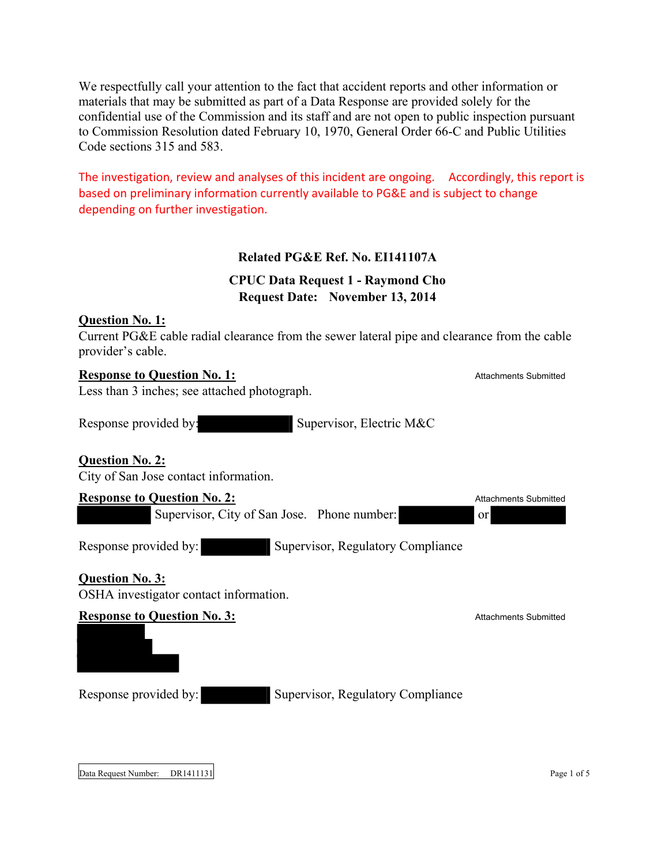We respectfully call your attention to the fact that accident reports and other information or materials that may be submitted as part of a Data Response are provided solely for the confidential use of the Commission and its staff and are not open to public inspection pursuant to Commission Resolution dated February 10, 1970, General Order 66-C and Public Utilities Code sections 315 and 583.

The investigation, review and analyses of this incident are ongoing. Accordingly, this report is based on preliminary information currently available to PG&E and is subject to change depending on further investigation.

# **Related PG&E Ref. No. EI141107A**

# **CPUC Data Request 1 - Raymond Cho Request Date: November 13, 2014**

## **Question No. 1:**

Current PG&E cable radial clearance from the sewer lateral pipe and clearance from the cable provider's cable.

#### **Response to Question No. 1:** Attachments Submitted

Less than 3 inches; see attached photograph.

Response provided by: Supervisor, Electric M&C

## **Question No. 2:**

City of San Jose contact information.

#### **Response to Question No. 2:** Attachments Submitted

Supervisor, City of San Jose. Phone number: or

Response provided by: Supervisor, Regulatory Compliance

# **Question No. 3:**

OSHA investigator contact information.

#### **Response to Question No. 3:** Attachments Submitted

Response provided by: Supervisor, Regulatory Compliance

Data Request Number: DR1411131 Page 1 of 5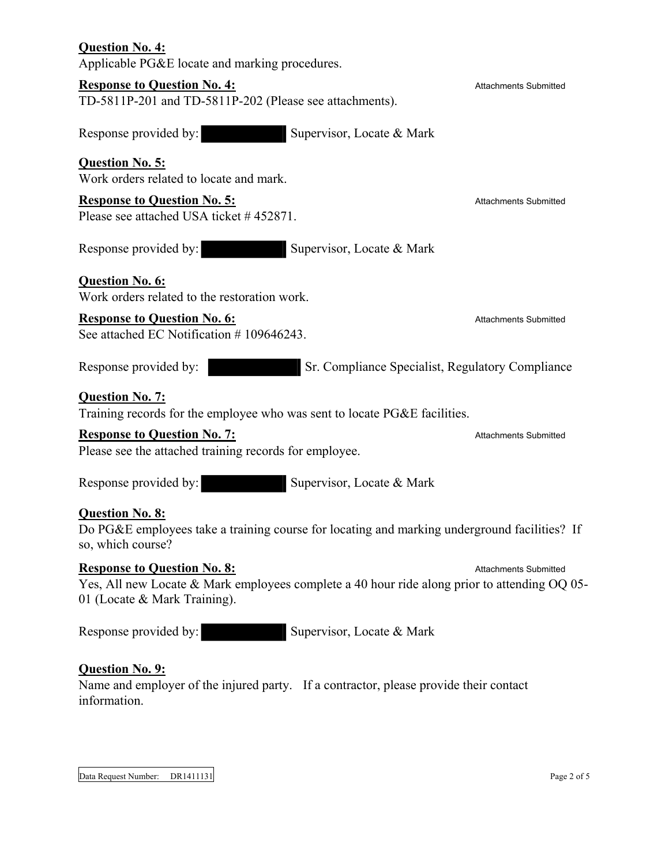| <b>Question No. 4:</b><br>Applicable PG&E locate and marking procedures.                                                                                           |                              |
|--------------------------------------------------------------------------------------------------------------------------------------------------------------------|------------------------------|
| <b>Response to Question No. 4:</b><br>TD-5811P-201 and TD-5811P-202 (Please see attachments).                                                                      | <b>Attachments Submitted</b> |
| Response provided by:<br>Supervisor, Locate & Mark                                                                                                                 |                              |
| <b>Question No. 5:</b><br>Work orders related to locate and mark.                                                                                                  |                              |
| <b>Response to Question No. 5:</b><br>Please see attached USA ticket #452871.                                                                                      | <b>Attachments Submitted</b> |
| Response provided by:<br>Supervisor, Locate & Mark                                                                                                                 |                              |
| <b>Question No. 6:</b><br>Work orders related to the restoration work.                                                                                             |                              |
| <b>Response to Question No. 6:</b><br>See attached EC Notification #109646243.                                                                                     | <b>Attachments Submitted</b> |
| Response provided by:<br>Sr. Compliance Specialist, Regulatory Compliance                                                                                          |                              |
| <b>Question No. 7:</b><br>Training records for the employee who was sent to locate PG&E facilities.                                                                |                              |
| <b>Response to Question No. 7:</b><br>Please see the attached training records for employee.                                                                       | <b>Attachments Submitted</b> |
| Supervisor, Locate & Mark<br>Response provided by:                                                                                                                 |                              |
| <b>Question No. 8:</b><br>Do PG&E employees take a training course for locating and marking underground facilities? If<br>so, which course?                        |                              |
| <b>Response to Question No. 8:</b><br>Yes, All new Locate & Mark employees complete a 40 hour ride along prior to attending OQ 05-<br>01 (Locate & Mark Training). | <b>Attachments Submitted</b> |
| Supervisor, Locate & Mark<br>Response provided by:                                                                                                                 |                              |
| <b>Question No. 9:</b><br>Name and employer of the injured party. If a contractor, please provide their contact<br>information.                                    |                              |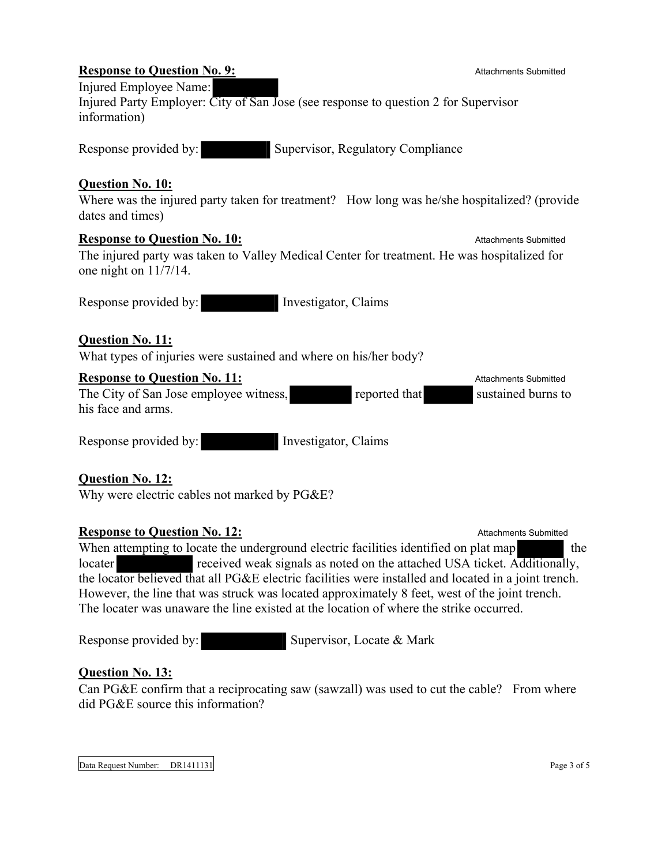#### **Response to Question No. 9:** Attachments Submitted Injured Employee Name: Injured Party Employer: City of San Jose (see response to question 2 for Supervisor information)

Response provided by: Supervisor, Regulatory Compliance

## **Question No. 10:**

Where was the injured party taken for treatment? How long was he/she hospitalized? (provide dates and times)

#### **Response to Question No. 10:** Attachments Submitted

The injured party was taken to Valley Medical Center for treatment. He was hospitalized for one night on 11/7/14.

Response provided by: Investigator, Claims

# **Question No. 11:**

What types of injuries were sustained and where on his/her body?

## **Response to Question No. 11:** Attachments Submitted

The City of San Jose employee witness, reported that sustained burns to his face and arms.

Response provided by: Investigator, Claims

# **Question No. 12:**

Why were electric cables not marked by PG&E?

## **Response to Question No. 12:** Attachments Submitted

When attempting to locate the underground electric facilities identified on plat map the locater received weak signals as noted on the attached USA ticket. Additionally, the locator believed that all PG&E electric facilities were installed and located in a joint trench. However, the line that was struck was located approximately 8 feet, west of the joint trench. The locater was unaware the line existed at the location of where the strike occurred.

Response provided by: Supervisor, Locate & Mark

## **Question No. 13:**

Can PG&E confirm that a reciprocating saw (sawzall) was used to cut the cable? From where did PG&E source this information?

Data Request Number: DR1411131 Page 3 of 5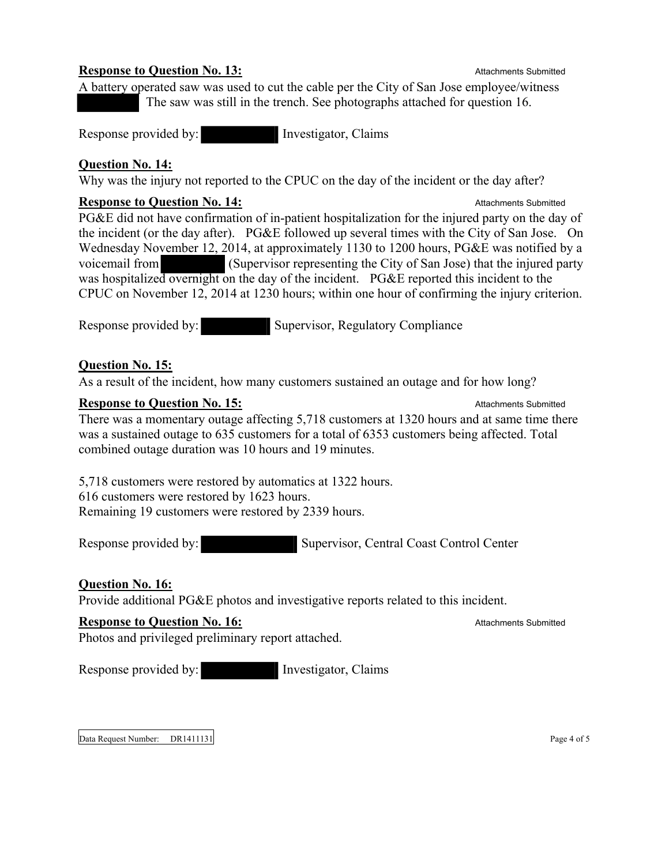#### **Response to Question No. 13:** Attachments Submitted Construction No. 13:

A battery operated saw was used to cut the cable per the City of San Jose employee/witness The saw was still in the trench. See photographs attached for question 16.

Response provided by: Investigator, Claims

## **Question No. 14:**

Why was the injury not reported to the CPUC on the day of the incident or the day after?

#### **Response to Question No. 14:** Attachments Submitted Construction of the Attachments Submitted

PG&E did not have confirmation of in-patient hospitalization for the injured party on the day of the incident (or the day after). PG&E followed up several times with the City of San Jose. On Wednesday November 12, 2014, at approximately 1130 to 1200 hours, PG&E was notified by a voicemail from (Supervisor representing the City of San Jose) that the injured party was hospitalized overnight on the day of the incident. PG&E reported this incident to the CPUC on November 12, 2014 at 1230 hours; within one hour of confirming the injury criterion.

Response provided by: Supervisor, Regulatory Compliance

## **Question No. 15:**

As a result of the incident, how many customers sustained an outage and for how long?

#### **Response to Question No. 15:** Attachments Submitted

There was a momentary outage affecting 5,718 customers at 1320 hours and at same time there was a sustained outage to 635 customers for a total of 6353 customers being affected. Total combined outage duration was 10 hours and 19 minutes.

5,718 customers were restored by automatics at 1322 hours. 616 customers were restored by 1623 hours.

Remaining 19 customers were restored by 2339 hours.

Response provided by: Supervisor, Central Coast Control Center

# **Question No. 16:**

Provide additional PG&E photos and investigative reports related to this incident.

# **Response to Question No. 16:** Attachments Submitted Contact Attachments Submitted

Photos and privileged preliminary report attached.

Response provided by: Investigator, Claims

Data Request Number: DR1411131 Page 4 of 5